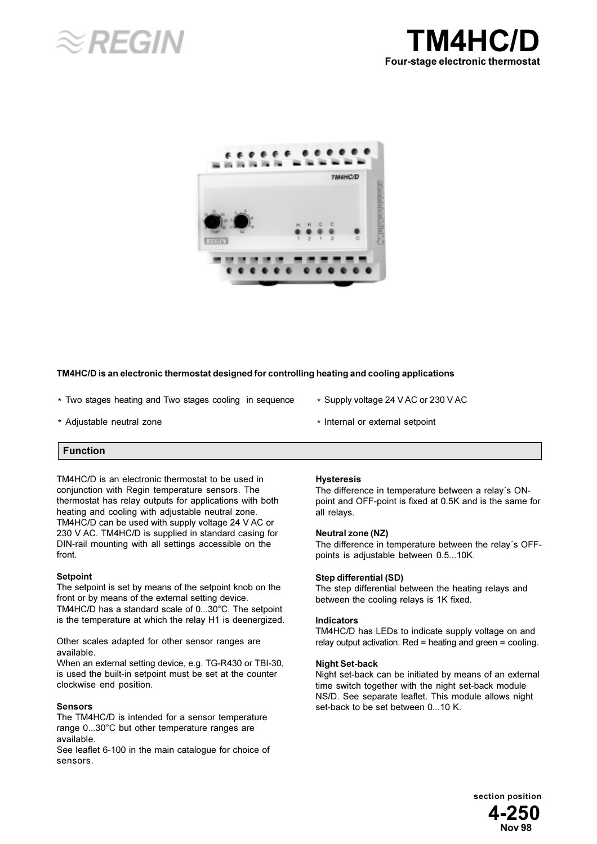





## TM4HC/D is an electronic thermostat designed for controlling heating and cooling applications

- \* Two stages heating and Two stages cooling in sequence
- \* Adjustable neutral zone
- \* Supply voltage 24 V AC or 230 V AC
- \* Internal or external setpoint

# **Function**

TM4HC/D is an electronic thermostat to be used in conjunction with Regin temperature sensors. The thermostat has relay outputs for applications with both heating and cooling with adjustable neutral zone. TM4HC/D can be used with supply voltage 24 V AC or 230 V AC. TM4HC/D is supplied in standard casing for DIN-rail mounting with all settings accessible on the front.

## **Setpoint**

The setpoint is set by means of the setpoint knob on the front or by means of the external setting device. TM4HC/D has a standard scale of 0...30°C. The setpoint is the temperature at which the relay H1 is deenergized.

Other scales adapted for other sensor ranges are available.

When an external setting device, e.g. TG-R430 or TBI-30, is used the built-in setpoint must be set at the counter clockwise end position.

## Sensors

The TM4HC/D is intended for a sensor temperature range 0...30°C but other temperature ranges are available.

See leaflet 6-100 in the main catalogue for choice of Sensors

## **Hysteresis**

The difference in temperature between a relay's ONpoint and OFF-point is fixed at 0.5K and is the same for all relays.

## Neutral zone (NZ)

The difference in temperature between the relay's OFFpoints is adjustable between 0.5...10K.

## Step differential (SD)

The step differential between the heating relays and between the cooling relays is 1K fixed.

## **Indicators**

TM4HC/D has LEDs to indicate supply voltage on and relay output activation. Red = heating and green =  $\text{cooling}$ .

## **Night Set-back**

Night set-back can be initiated by means of an external time switch together with the night set-back module NS/D. See separate leaflet. This module allows night set-back to be set between 0...10 K.